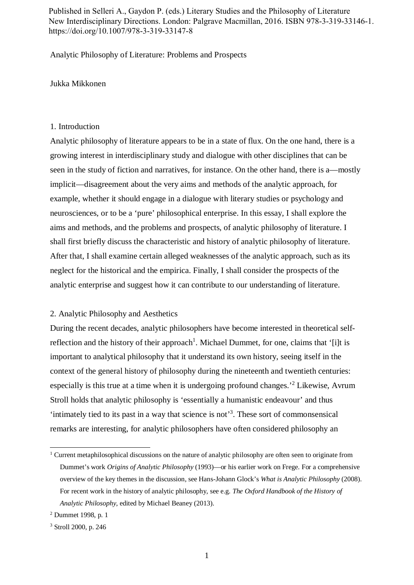Published in Selleri A., Gaydon P. (eds.) Literary Studies and the Philosophy of Literature New Interdisciplinary Directions. London: Palgrave Macmillan, 2016. ISBN 978-3-319-33146-1. https://doi.org/10.1007/978-3-319-33147-8

Analytic Philosophy of Literature: Problems and Prospects

Jukka Mikkonen

### 1. Introduction

Analytic philosophy of literature appears to be in a state of flux. On the one hand, there is a growing interest in interdisciplinary study and dialogue with other disciplines that can be seen in the study of fiction and narratives, for instance. On the other hand, there is a—mostly implicit—disagreement about the very aims and methods of the analytic approach, for example, whether it should engage in a dialogue with literary studies or psychology and neurosciences, or to be a 'pure' philosophical enterprise. In this essay, I shall explore the aims and methods, and the problems and prospects, of analytic philosophy of literature. I shall first briefly discuss the characteristic and history of analytic philosophy of literature. After that, I shall examine certain alleged weaknesses of the analytic approach, such as its neglect for the historical and the empirica. Finally, I shall consider the prospects of the analytic enterprise and suggest how it can contribute to our understanding of literature.

#### 2. Analytic Philosophy and Aesthetics

During the recent decades, analytic philosophers have become interested in theoretical selfreflection and the history of their approach<sup>1</sup>. Michael Dummet, for one, claims that '[i]t is important to analytical philosophy that it understand its own history, seeing itself in the context of the general history of philosophy during the nineteenth and twentieth centuries: especially is this true at a time when it is undergoing profound changes.<sup>2</sup> Likewise, Avrum Stroll holds that analytic philosophy is 'essentially a humanistic endeavour' and thus 'intimately tied to its past in a way that science is not'<sup>3</sup> . These sort of commonsensical remarks are interesting, for analytic philosophers have often considered philosophy an

<sup>&</sup>lt;sup>1</sup> Current metaphilosophical discussions on the nature of analytic philosophy are often seen to originate from Dummet's work *Origins of Analytic Philosophy* (1993)—or his earlier work on Frege. For a comprehensive overview of the key themes in the discussion, see Hans-Johann Glock's *What is Analytic Philosophy* (2008). For recent work in the history of analytic philosophy, see e.g. *The Oxford Handbook of the History of Analytic Philosophy*, edited by Michael Beaney (2013).

<sup>2</sup> Dummet 1998, p. 1

<sup>3</sup> Stroll 2000, p. 246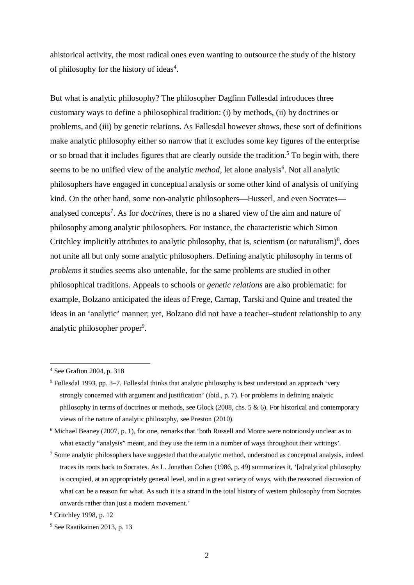ahistorical activity, the most radical ones even wanting to outsource the study of the history of philosophy for the history of ideas<sup>4</sup>.

But what is analytic philosophy? The philosopher Dagfinn Føllesdal introduces three customary ways to define a philosophical tradition: (i) by methods, (ii) by doctrines or problems, and (iii) by genetic relations. As Føllesdal however shows, these sort of definitions make analytic philosophy either so narrow that it excludes some key figures of the enterprise or so broad that it includes figures that are clearly outside the tradition.<sup>5</sup> To begin with, there seems to be no unified view of the analytic *method*, let alone analysis<sup>6</sup>. Not all analytic philosophers have engaged in conceptual analysis or some other kind of analysis of unifying kind. On the other hand, some non-analytic philosophers—Husserl, and even Socrates analysed concepts<sup>7</sup>. As for *doctrines*, there is no a shared view of the aim and nature of philosophy among analytic philosophers. For instance, the characteristic which Simon Critchley implicitly attributes to analytic philosophy, that is, scientism (or naturalism) $\delta$ , does not unite all but only some analytic philosophers. Defining analytic philosophy in terms of *problems* it studies seems also untenable, for the same problems are studied in other philosophical traditions. Appeals to schools or *genetic relations* are also problematic: for example, Bolzano anticipated the ideas of Frege, Carnap, Tarski and Quine and treated the ideas in an 'analytic' manner; yet, Bolzano did not have a teacher–student relationship to any analytic philosopher proper<sup>9</sup>.

<sup>4</sup> See Grafton 2004, p. 318

<sup>&</sup>lt;sup>5</sup> Føllesdal 1993, pp. 3–7. Føllesdal thinks that analytic philosophy is best understood an approach 'very strongly concerned with argument and justification' (ibid., p. 7). For problems in defining analytic philosophy in terms of doctrines or methods, see Glock (2008, chs. 5  $\&$  6). For historical and contemporary views of the nature of analytic philosophy, see Preston (2010).

<sup>&</sup>lt;sup>6</sup> Michael Beaney (2007, p. 1), for one, remarks that 'both Russell and Moore were notoriously unclear as to what exactly "analysis" meant, and they use the term in a number of ways throughout their writings'.

<sup>&</sup>lt;sup>7</sup> Some analytic philosophers have suggested that the analytic method, understood as conceptual analysis, indeed traces its roots back to Socrates. As L. Jonathan Cohen (1986, p. 49) summarizes it, '[a]nalytical philosophy is occupied, at an appropriately general level, and in a great variety of ways, with the reasoned discussion of what can be a reason for what. As such it is a strand in the total history of western philosophy from Socrates onwards rather than just a modern movement.'

<sup>8</sup> Critchley 1998, p. 12

<sup>9</sup> See Raatikainen 2013, p. 13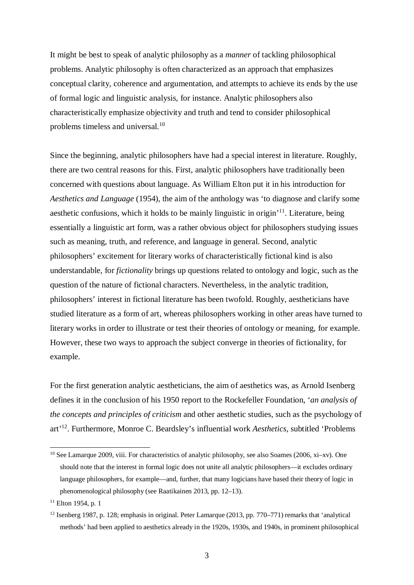It might be best to speak of analytic philosophy as a *manner* of tackling philosophical problems. Analytic philosophy is often characterized as an approach that emphasizes conceptual clarity, coherence and argumentation, and attempts to achieve its ends by the use of formal logic and linguistic analysis, for instance. Analytic philosophers also characteristically emphasize objectivity and truth and tend to consider philosophical problems timeless and universal.<sup>10</sup>

Since the beginning, analytic philosophers have had a special interest in literature. Roughly, there are two central reasons for this. First, analytic philosophers have traditionally been concerned with questions about language. As William Elton put it in his introduction for *Aesthetics and Language* (1954), the aim of the anthology was 'to diagnose and clarify some aesthetic confusions, which it holds to be mainly linguistic in origin'<sup>11</sup>. Literature, being essentially a linguistic art form, was a rather obvious object for philosophers studying issues such as meaning, truth, and reference, and language in general. Second, analytic philosophers' excitement for literary works of characteristically fictional kind is also understandable, for *fictionality* brings up questions related to ontology and logic, such as the question of the nature of fictional characters. Nevertheless, in the analytic tradition, philosophers' interest in fictional literature has been twofold. Roughly, aestheticians have studied literature as a form of art, whereas philosophers working in other areas have turned to literary works in order to illustrate or test their theories of ontology or meaning, for example. However, these two ways to approach the subject converge in theories of fictionality, for example.

For the first generation analytic aestheticians, the aim of aesthetics was, as Arnold Isenberg defines it in the conclusion of his 1950 report to the Rockefeller Foundation, '*an analysis of the concepts and principles of criticism* and other aesthetic studies, such as the psychology of art'<sup>12</sup>. Furthermore, Monroe C. Beardsley's influential work *Aesthetics*, subtitled 'Problems

 $10$  See Lamarque 2009, viii. For characteristics of analytic philosophy, see also Soames (2006, xi–xv). One should note that the interest in formal logic does not unite all analytic philosophers—it excludes ordinary language philosophers, for example—and, further, that many logicians have based their theory of logic in phenomenological philosophy (see Raatikainen 2013, pp. 12–13).

 $11$  Elton 1954, p. 1

<sup>&</sup>lt;sup>12</sup> Isenberg 1987, p. 128; emphasis in original. Peter Lamarque (2013, pp. 770–771) remarks that 'analytical methods' had been applied to aesthetics already in the 1920s, 1930s, and 1940s, in prominent philosophical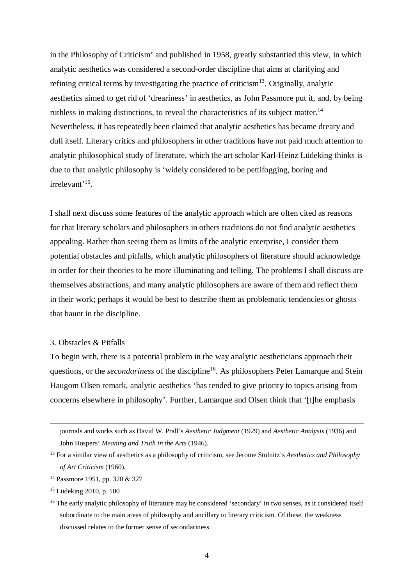in the Philosophy of Criticism' and published in 1958, greatly substantied this view, in which analytic aesthetics was considered a second-order discipline that aims at clarifying and refining critical terms by investigating the practice of criticism<sup>13</sup>. Originally, analytic aesthetics aimed to get rid of 'dreariness' in aesthetics, as John Passmore put it, and, by being ruthless in making distinctions, to reveal the characteristics of its subject matter.<sup>14</sup> Nevertheless, it has repeatedly been claimed that analytic aesthetics has became dreary and dull itself. Literary critics and philosophers in other traditions have not paid much attention to analytic philosophical study of literature, which the art scholar Karl-Heinz Lüdeking thinks is due to that analytic philosophy is 'widely considered to be pettifogging, boring and irrelevant<sup>'15</sup>.

I shall next discuss some features of the analytic approach which are often cited as reasons for that literary scholars and philosophers in others traditions do not find analytic aesthetics appealing. Rather than seeing them as limits of the analytic enterprise, I consider them potential obstacles and pitfalls, which analytic philosophers of literature should acknowledge in order for their theories to be more illuminating and telling. The problems I shall discuss are themselves abstractions, and many analytic philosophers are aware of them and reflect them in their work; perhaps it would be best to describe them as problematic tendencies or ghosts that haunt in the discipline.

### 3. Obstacles & Pitfalls

To begin with, there is a potential problem in the way analytic aestheticians approach their questions, or the *secondariness* of the discipline<sup>16</sup>. As philosophers Peter Lamarque and Stein Haugom Olsen remark, analytic aesthetics 'has tended to give priority to topics arising from concerns elsewhere in philosophy'. Further, Lamarque and Olsen think that '[t]he emphasis

journals and works such as David W. Prall's *Aesthetic Judgment* (1929) and *Aesthetic Analysis* (1936) and John Hospers' *Meaning and Truth in the Arts* (1946).

<sup>13</sup> For a similar view of aesthetics as a philosophy of criticism, see Jerome Stolnitz's *Aesthetics and Philosophy of Art Criticism* (1960).

<sup>14</sup> Passmore 1951, pp. 320 & 327

<sup>15</sup> Lüdeking 2010, p. 100

<sup>&</sup>lt;sup>16</sup> The early analytic philosophy of literature may be considered 'secondary' in two senses, as it considered itself subordinate to the main areas of philosophy and ancillary to literary criticism. Of these, the weakness discussed relates to the former sense of secondariness.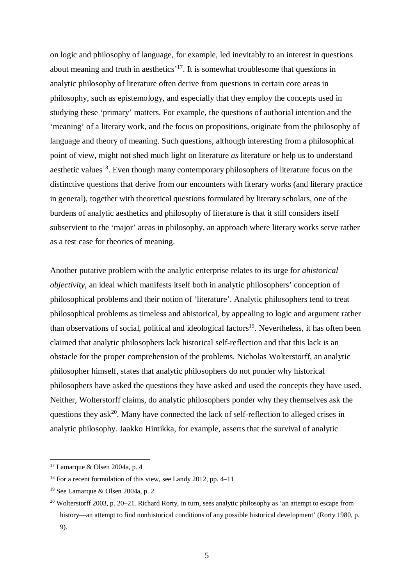on logic and philosophy of language, for example, led inevitably to an interest in questions about meaning and truth in aesthetics'<sup>17</sup>. It is somewhat troublesome that questions in analytic philosophy of literature often derive from questions in certain core areas in philosophy, such as epistemology, and especially that they employ the concepts used in studying these 'primary' matters. For example, the questions of authorial intention and the 'meaning' of a literary work, and the focus on propositions, originate from the philosophy of language and theory of meaning. Such questions, although interesting from a philosophical point of view, might not shed much light on literature *as* literature or help us to understand aesthetic values<sup>18</sup>. Even though many contemporary philosophers of literature focus on the distinctive questions that derive from our encounters with literary works (and literary practice in general), together with theoretical questions formulated by literary scholars, one of the burdens of analytic aesthetics and philosophy of literature is that it still considers itself subservient to the 'major' areas in philosophy, an approach where literary works serve rather as a test case for theories of meaning.

Another putative problem with the analytic enterprise relates to its urge for *ahistorical objectivity*, an ideal which manifests itself both in analytic philosophers' conception of philosophical problems and their notion of 'literature'. Analytic philosophers tend to treat philosophical problems as timeless and ahistorical, by appealing to logic and argument rather than observations of social, political and ideological factors<sup>19</sup>. Nevertheless, it has often been claimed that analytic philosophers lack historical self-reflection and that this lack is an obstacle for the proper comprehension of the problems. Nicholas Wolterstorff, an analytic philosopher himself, states that analytic philosophers do not ponder why historical philosophers have asked the questions they have asked and used the concepts they have used. Neither, Wolterstorff claims, do analytic philosophers ponder why they themselves ask the questions they ask<sup>20</sup>. Many have connected the lack of self-reflection to alleged crises in analytic philosophy. Jaakko Hintikka, for example, asserts that the survival of analytic

<sup>17</sup> Lamarque & Olsen 2004a, p. 4

<sup>18</sup> For a recent formulation of this view, see Landy 2012, pp. 4–11

<sup>&</sup>lt;sup>19</sup> See Lamarque & Olsen 2004a, p. 2

<sup>&</sup>lt;sup>20</sup> Wolterstorff 2003, p. 20–21. Richard Rorty, in turn, sees analytic philosophy as 'an attempt to escape from history—an attempt to find nonhistorical conditions of any possible historical development' (Rorty 1980, p. 9).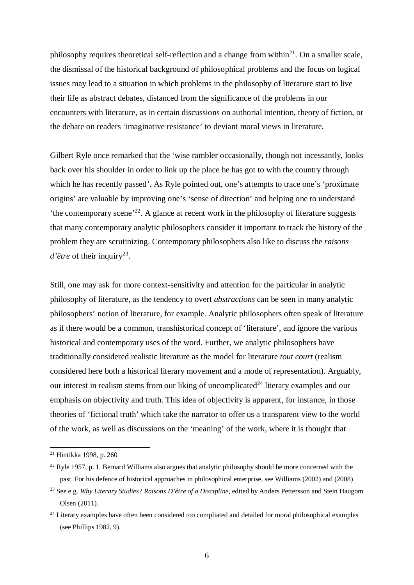philosophy requires theoretical self-reflection and a change from within $^{21}$ . On a smaller scale, the dismissal of the historical background of philosophical problems and the focus on logical issues may lead to a situation in which problems in the philosophy of literature start to live their life as abstract debates, distanced from the significance of the problems in our encounters with literature, as in certain discussions on authorial intention, theory of fiction, or the debate on readers 'imaginative resistance' to deviant moral views in literature.

Gilbert Ryle once remarked that the 'wise rambler occasionally, though not incessantly, looks back over his shoulder in order to link up the place he has got to with the country through which he has recently passed'. As Ryle pointed out, one's attempts to trace one's 'proximate origins' are valuable by improving one's 'sense of direction' and helping one to understand 'the contemporary scene'<sup>22</sup>. A glance at recent work in the philosophy of literature suggests that many contemporary analytic philosophers consider it important to track the history of the problem they are scrutinizing. Contemporary philosophers also like to discuss the *raisons d'être* of their inquiry<sup>23</sup>.

Still, one may ask for more context-sensitivity and attention for the particular in analytic philosophy of literature, as the tendency to overt *abstractions* can be seen in many analytic philosophers' notion of literature, for example. Analytic philosophers often speak of literature as if there would be a common, transhistorical concept of 'literature', and ignore the various historical and contemporary uses of the word. Further, we analytic philosophers have traditionally considered realistic literature as the model for literature *tout court* (realism considered here both a historical literary movement and a mode of representation). Arguably, our interest in realism stems from our liking of uncomplicated<sup> $24$ </sup> literary examples and our emphasis on objectivity and truth. This idea of objectivity is apparent, for instance, in those theories of 'fictional truth' which take the narrator to offer us a transparent view to the world of the work, as well as discussions on the 'meaning' of the work, where it is thought that

<sup>21</sup> Hintikka 1998, p. 260

 $22$  Ryle 1957, p. 1. Bernard Williams also argues that analytic philosophy should be more concerned with the past. For his defence of historical approaches in philosophical enterprise, see Williams (2002) and (2008)

<sup>23</sup> See e.g. *Why Literary Studies? Raisons D'être of a Discipline*, edited by Anders Pettersson and Stein Haugom Olsen (2011).

<sup>&</sup>lt;sup>24</sup> Literary examples have often been considered too compliated and detailed for moral philosophical examples (see Phillips 1982, 9).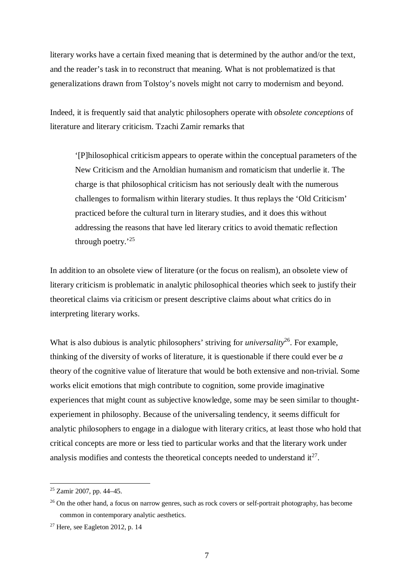literary works have a certain fixed meaning that is determined by the author and/or the text, and the reader's task in to reconstruct that meaning. What is not problematized is that generalizations drawn from Tolstoy's novels might not carry to modernism and beyond.

Indeed, it is frequently said that analytic philosophers operate with *obsolete conceptions* of literature and literary criticism. Tzachi Zamir remarks that

'[P]hilosophical criticism appears to operate within the conceptual parameters of the New Criticism and the Arnoldian humanism and romaticism that underlie it. The charge is that philosophical criticism has not seriously dealt with the numerous challenges to formalism within literary studies. It thus replays the 'Old Criticism' practiced before the cultural turn in literary studies, and it does this without addressing the reasons that have led literary critics to avoid thematic reflection through poetry.'<sup>25</sup>

In addition to an obsolete view of literature (or the focus on realism), an obsolete view of literary criticism is problematic in analytic philosophical theories which seek to justify their theoretical claims via criticism or present descriptive claims about what critics do in interpreting literary works.

What is also dubious is analytic philosophers' striving for *universality*<sup>26</sup>. For example, thinking of the diversity of works of literature, it is questionable if there could ever be *a* theory of the cognitive value of literature that would be both extensive and non-trivial. Some works elicit emotions that migh contribute to cognition, some provide imaginative experiences that might count as subjective knowledge, some may be seen similar to thoughtexperiement in philosophy. Because of the universaling tendency, it seems difficult for analytic philosophers to engage in a dialogue with literary critics, at least those who hold that critical concepts are more or less tied to particular works and that the literary work under analysis modifies and contests the theoretical concepts needed to understand  $it^{27}$ .

<sup>25</sup> Zamir 2007, pp. 44–45.

<sup>&</sup>lt;sup>26</sup> On the other hand, a focus on narrow genres, such as rock covers or self-portrait photography, has become common in contemporary analytic aesthetics.

<sup>&</sup>lt;sup>27</sup> Here, see Eagleton 2012, p. 14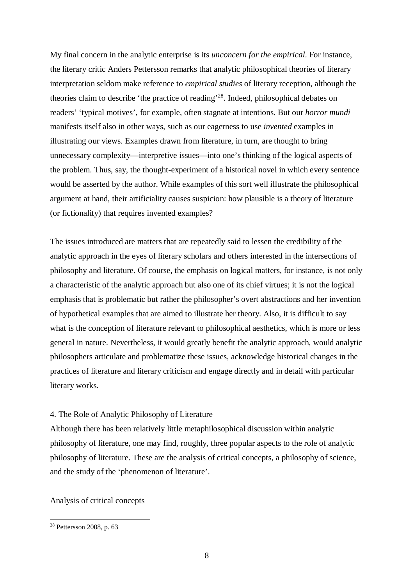My final concern in the analytic enterprise is its *unconcern for the empirical*. For instance, the literary critic Anders Pettersson remarks that analytic philosophical theories of literary interpretation seldom make reference to *empirical studies* of literary reception, although the theories claim to describe 'the practice of reading'<sup>28</sup>. Indeed, philosophical debates on readers' 'typical motives', for example, often stagnate at intentions. But our *horror mundi* manifests itself also in other ways, such as our eagerness to use *invented* examples in illustrating our views. Examples drawn from literature, in turn, are thought to bring unnecessary complexity—interpretive issues—into one's thinking of the logical aspects of the problem. Thus, say, the thought-experiment of a historical novel in which every sentence would be asserted by the author. While examples of this sort well illustrate the philosophical argument at hand, their artificiality causes suspicion: how plausible is a theory of literature (or fictionality) that requires invented examples?

The issues introduced are matters that are repeatedly said to lessen the credibility of the analytic approach in the eyes of literary scholars and others interested in the intersections of philosophy and literature. Of course, the emphasis on logical matters, for instance, is not only a characteristic of the analytic approach but also one of its chief virtues; it is not the logical emphasis that is problematic but rather the philosopher's overt abstractions and her invention of hypothetical examples that are aimed to illustrate her theory. Also, it is difficult to say what is the conception of literature relevant to philosophical aesthetics, which is more or less general in nature. Nevertheless, it would greatly benefit the analytic approach, would analytic philosophers articulate and problematize these issues, acknowledge historical changes in the practices of literature and literary criticism and engage directly and in detail with particular literary works.

## 4. The Role of Analytic Philosophy of Literature

Although there has been relatively little metaphilosophical discussion within analytic philosophy of literature, one may find, roughly, three popular aspects to the role of analytic philosophy of literature. These are the analysis of critical concepts, a philosophy of science, and the study of the 'phenomenon of literature'.

Analysis of critical concepts

<sup>28</sup> Pettersson 2008, p. 63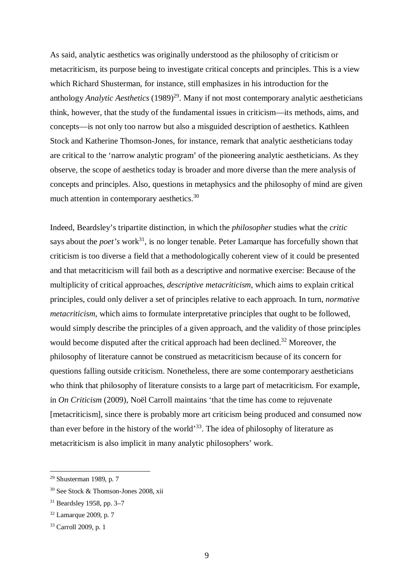As said, analytic aesthetics was originally understood as the philosophy of criticism or metacriticism, its purpose being to investigate critical concepts and principles. This is a view which Richard Shusterman, for instance, still emphasizes in his introduction for the anthology *Analytic Aesthetics* (1989)<sup>29</sup>. Many if not most contemporary analytic aestheticians think, however, that the study of the fundamental issues in criticism—its methods, aims, and concepts—is not only too narrow but also a misguided description of aesthetics. Kathleen Stock and Katherine Thomson-Jones, for instance, remark that analytic aestheticians today are critical to the 'narrow analytic program' of the pioneering analytic aestheticians. As they observe, the scope of aesthetics today is broader and more diverse than the mere analysis of concepts and principles. Also, questions in metaphysics and the philosophy of mind are given much attention in contemporary aesthetics.<sup>30</sup>

Indeed, Beardsley's tripartite distinction, in which the *philosopher* studies what the *critic* says about the *poet's* work<sup>31</sup>, is no longer tenable. Peter Lamarque has forcefully shown that criticism is too diverse a field that a methodologically coherent view of it could be presented and that metacriticism will fail both as a descriptive and normative exercise: Because of the multiplicity of critical approaches, *descriptive metacriticism*, which aims to explain critical principles, could only deliver a set of principles relative to each approach. In turn, *normative metacriticism*, which aims to formulate interpretative principles that ought to be followed, would simply describe the principles of a given approach, and the validity of those principles would become disputed after the critical approach had been declined.<sup>32</sup> Moreover, the philosophy of literature cannot be construed as metacriticism because of its concern for questions falling outside criticism. Nonetheless, there are some contemporary aestheticians who think that philosophy of literature consists to a large part of metacriticism. For example, in *On Criticism* (2009), Noël Carroll maintains 'that the time has come to rejuvenate [metacriticism], since there is probably more art criticism being produced and consumed now than ever before in the history of the world'<sup>33</sup>. The idea of philosophy of literature as metacriticism is also implicit in many analytic philosophers' work.

<sup>29</sup> Shusterman 1989, p. 7

<sup>30</sup> See Stock & Thomson-Jones 2008, xii

<sup>31</sup> Beardsley 1958, pp. 3–7

<sup>32</sup> Lamarque 2009, p. 7

<sup>33</sup> Carroll 2009, p. 1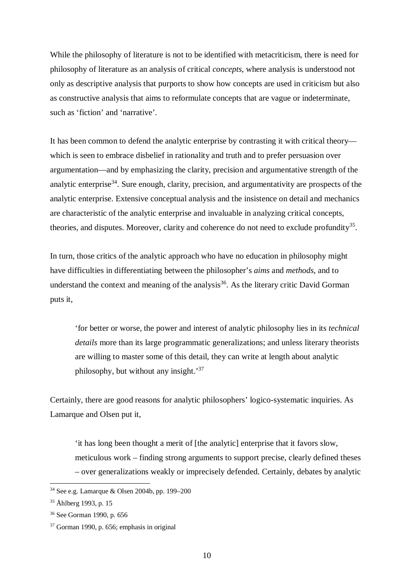While the philosophy of literature is not to be identified with metacriticism, there is need for philosophy of literature as an analysis of critical *concepts*, where analysis is understood not only as descriptive analysis that purports to show how concepts are used in criticism but also as constructive analysis that aims to reformulate concepts that are vague or indeterminate, such as 'fiction' and 'narrative'.

It has been common to defend the analytic enterprise by contrasting it with critical theory which is seen to embrace disbelief in rationality and truth and to prefer persuasion over argumentation—and by emphasizing the clarity, precision and argumentative strength of the analytic enterprise<sup>34</sup>. Sure enough, clarity, precision, and argumentativity are prospects of the analytic enterprise. Extensive conceptual analysis and the insistence on detail and mechanics are characteristic of the analytic enterprise and invaluable in analyzing critical concepts, theories, and disputes. Moreover, clarity and coherence do not need to exclude profundity<sup>35</sup>.

In turn, those critics of the analytic approach who have no education in philosophy might have difficulties in differentiating between the philosopher's *aims* and *methods*, and to understand the context and meaning of the analysis<sup>36</sup>. As the literary critic David Gorman puts it,

'for better or worse, the power and interest of analytic philosophy lies in its *technical details* more than its large programmatic generalizations; and unless literary theorists are willing to master some of this detail, they can write at length about analytic philosophy, but without any insight.'<sup>37</sup>

Certainly, there are good reasons for analytic philosophers' logico-systematic inquiries. As Lamarque and Olsen put it,

'it has long been thought a merit of [the analytic] enterprise that it favors slow, meticulous work – finding strong arguments to support precise, clearly defined theses – over generalizations weakly or imprecisely defended. Certainly, debates by analytic

<sup>34</sup> See e.g. Lamarque & Olsen 2004b, pp. 199–200

<sup>35</sup> Åhlberg 1993, p. 15

<sup>36</sup> See Gorman 1990, p. 656

<sup>37</sup> Gorman 1990, p. 656; emphasis in original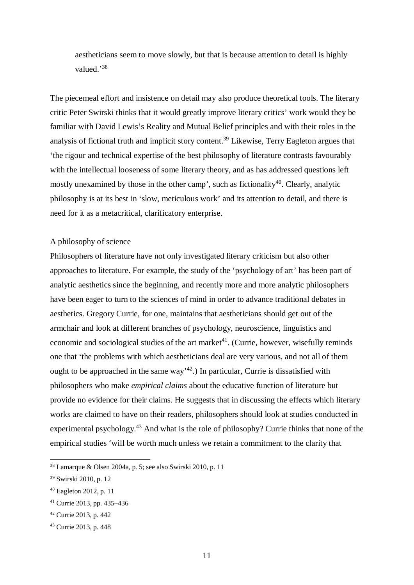aestheticians seem to move slowly, but that is because attention to detail is highly valued<sup>38</sup>

The piecemeal effort and insistence on detail may also produce theoretical tools. The literary critic Peter Swirski thinks that it would greatly improve literary critics' work would they be familiar with David Lewis's Reality and Mutual Belief principles and with their roles in the analysis of fictional truth and implicit story content.<sup>39</sup> Likewise, Terry Eagleton argues that 'the rigour and technical expertise of the best philosophy of literature contrasts favourably with the intellectual looseness of some literary theory, and as has addressed questions left mostly unexamined by those in the other camp', such as fictionality<sup>40</sup>. Clearly, analytic philosophy is at its best in 'slow, meticulous work' and its attention to detail, and there is need for it as a metacritical, clarificatory enterprise.

## A philosophy of science

Philosophers of literature have not only investigated literary criticism but also other approaches to literature. For example, the study of the 'psychology of art' has been part of analytic aesthetics since the beginning, and recently more and more analytic philosophers have been eager to turn to the sciences of mind in order to advance traditional debates in aesthetics. Gregory Currie, for one, maintains that aestheticians should get out of the armchair and look at different branches of psychology, neuroscience, linguistics and economic and sociological studies of the art market<sup>41</sup>. (Currie, however, wisefully reminds one that 'the problems with which aestheticians deal are very various, and not all of them ought to be approached in the same way<sup> $42$ </sup>.) In particular, Currie is dissatisfied with philosophers who make *empirical claims* about the educative function of literature but provide no evidence for their claims. He suggests that in discussing the effects which literary works are claimed to have on their readers, philosophers should look at studies conducted in experimental psychology.<sup>43</sup> And what is the role of philosophy? Currie thinks that none of the empirical studies 'will be worth much unless we retain a commitment to the clarity that

<sup>38</sup> Lamarque & Olsen 2004a, p. 5; see also Swirski 2010, p. 11

<sup>39</sup> Swirski 2010, p. 12

<sup>40</sup> Eagleton 2012, p. 11

<sup>41</sup> Currie 2013, pp. 435–436

<sup>42</sup> Currie 2013, p. 442

<sup>43</sup> Currie 2013, p. 448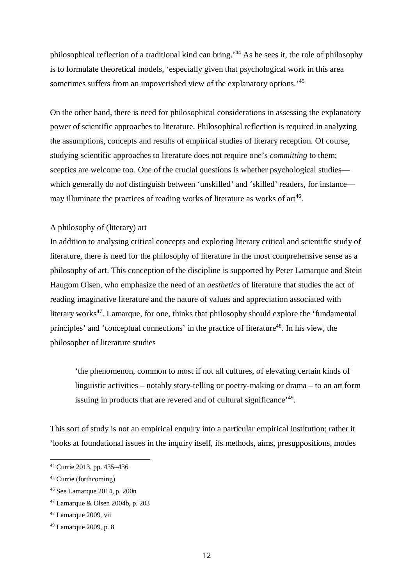philosophical reflection of a traditional kind can bring.'<sup>44</sup> As he sees it, the role of philosophy is to formulate theoretical models, 'especially given that psychological work in this area sometimes suffers from an impoverished view of the explanatory options.<sup>'45</sup>

On the other hand, there is need for philosophical considerations in assessing the explanatory power of scientific approaches to literature. Philosophical reflection is required in analyzing the assumptions, concepts and results of empirical studies of literary reception. Of course, studying scientific approaches to literature does not require one's *committing* to them; sceptics are welcome too. One of the crucial questions is whether psychological studies which generally do not distinguish between 'unskilled' and 'skilled' readers, for instance may illuminate the practices of reading works of literature as works of  $art<sup>46</sup>$ .

# A philosophy of (literary) art

In addition to analysing critical concepts and exploring literary critical and scientific study of literature, there is need for the philosophy of literature in the most comprehensive sense as a philosophy of art. This conception of the discipline is supported by Peter Lamarque and Stein Haugom Olsen, who emphasize the need of an *aesthetics* of literature that studies the act of reading imaginative literature and the nature of values and appreciation associated with literary works<sup>47</sup>. Lamarque, for one, thinks that philosophy should explore the 'fundamental' principles' and 'conceptual connections' in the practice of literature<sup>48</sup>. In his view, the philosopher of literature studies

'the phenomenon, common to most if not all cultures, of elevating certain kinds of linguistic activities – notably story-telling or poetry-making or drama – to an art form issuing in products that are revered and of cultural significance'<sup>49</sup>.

This sort of study is not an empirical enquiry into a particular empirical institution; rather it 'looks at foundational issues in the inquiry itself, its methods, aims, presuppositions, modes

<sup>44</sup> Currie 2013, pp. 435–436

<sup>45</sup> Currie (forthcoming)

<sup>46</sup> See Lamarque 2014, p. 200n

<sup>47</sup> Lamarque & Olsen 2004b, p. 203

<sup>48</sup> Lamarque 2009, vii

<sup>49</sup> Lamarque 2009, p. 8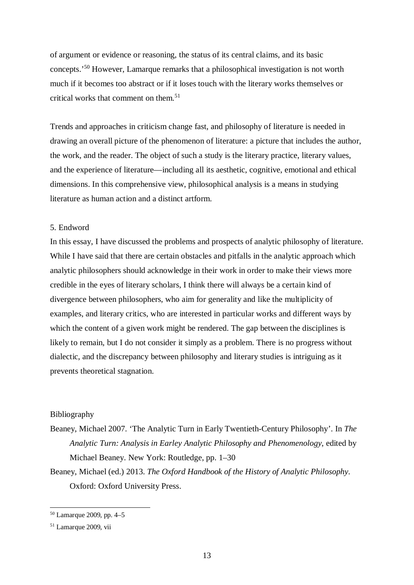of argument or evidence or reasoning, the status of its central claims, and its basic concepts.'<sup>50</sup> However, Lamarque remarks that a philosophical investigation is not worth much if it becomes too abstract or if it loses touch with the literary works themselves or critical works that comment on them.<sup>51</sup>

Trends and approaches in criticism change fast, and philosophy of literature is needed in drawing an overall picture of the phenomenon of literature: a picture that includes the author, the work, and the reader. The object of such a study is the literary practice, literary values, and the experience of literature—including all its aesthetic, cognitive, emotional and ethical dimensions. In this comprehensive view, philosophical analysis is a means in studying literature as human action and a distinct artform.

## 5. Endword

In this essay, I have discussed the problems and prospects of analytic philosophy of literature. While I have said that there are certain obstacles and pitfalls in the analytic approach which analytic philosophers should acknowledge in their work in order to make their views more credible in the eyes of literary scholars, I think there will always be a certain kind of divergence between philosophers, who aim for generality and like the multiplicity of examples, and literary critics, who are interested in particular works and different ways by which the content of a given work might be rendered. The gap between the disciplines is likely to remain, but I do not consider it simply as a problem. There is no progress without dialectic, and the discrepancy between philosophy and literary studies is intriguing as it prevents theoretical stagnation.

## Bibliography

Beaney, Michael 2007. 'The Analytic Turn in Early Twentieth-Century Philosophy'. In *The Analytic Turn: Analysis in Earley Analytic Philosophy and Phenomenology*, edited by Michael Beaney. New York: Routledge, pp. 1–30

Beaney, Michael (ed.) 2013. *The Oxford Handbook of the History of Analytic Philosophy*. Oxford: Oxford University Press.

 $50$  Lamarque 2009, pp. 4–5

<sup>51</sup> Lamarque 2009, vii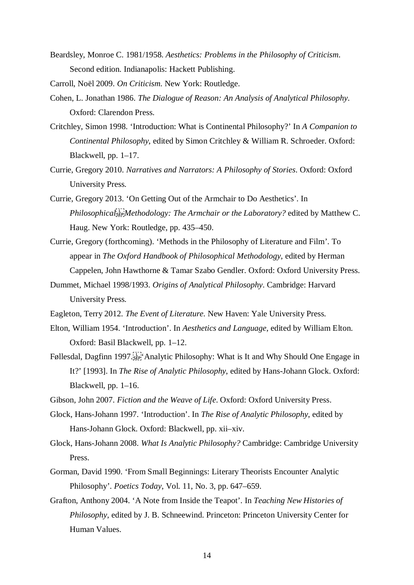Beardsley, Monroe C. 1981/1958. *Aesthetics: Problems in the Philosophy of Criticism*. Second edition. Indianapolis: Hackett Publishing.

Carroll, Noël 2009. *On Criticism*. New York: Routledge.

- Cohen, L. Jonathan 1986. *The Dialogue of Reason: An Analysis of Analytical Philosophy*. Oxford: Clarendon Press.
- Critchley, Simon 1998. 'Introduction: What is Continental Philosophy?' In *A Companion to Continental Philosophy*, edited by Simon Critchley & William R. Schroeder. Oxford: Blackwell, pp. 1–17.
- Currie, Gregory 2010. *Narratives and Narrators: A Philosophy of Stories*. Oxford: Oxford University Press.
- Currie, Gregory 2013. 'On Getting Out of the Armchair to Do Aesthetics'. In *Philosophical*<sup>[1]</sup><sub>*Methodology: The Armchair or the Laboratory?* edited by Matthew C.</sub> Haug. New York: Routledge, pp. 435–450.
- Currie, Gregory (forthcoming). 'Methods in the Philosophy of Literature and Film'. To appear in *The Oxford Handbook of Philosophical Methodology*, edited by Herman Cappelen, John Hawthorne & Tamar Szabo Gendler. Oxford: Oxford University Press.
- Dummet, Michael 1998/1993. *Origins of Analytical Philosophy*. Cambridge: Harvard University Press.
- Eagleton, Terry 2012. *The Event of Literature*. New Haven: Yale University Press.
- Elton, William 1954. 'Introduction'. In *Aesthetics and Language*, edited by William Elton. Oxford: Basil Blackwell, pp. 1–12.
- Føllesdal, Dagfinn 1997.  $\frac{1}{15}$  Analytic Philosophy: What is It and Why Should One Engage in It?' [1993]. In *The Rise of Analytic Philosophy*, edited by Hans-Johann Glock. Oxford: Blackwell, pp. 1–16.
- Gibson, John 2007. *Fiction and the Weave of Life*. Oxford: Oxford University Press.
- Glock, Hans-Johann 1997. 'Introduction'. In *The Rise of Analytic Philosophy*, edited by Hans-Johann Glock. Oxford: Blackwell, pp. xii–xiv.
- Glock, Hans-Johann 2008. *What Is Analytic Philosophy?* Cambridge: Cambridge University Press.
- Gorman, David 1990. 'From Small Beginnings: Literary Theorists Encounter Analytic Philosophy'. *Poetics Today*, Vol. 11, No. 3, pp. 647–659.
- Grafton, Anthony 2004. 'A Note from Inside the Teapot'. In *Teaching New Histories of Philosophy*, edited by J. B. Schneewind. Princeton: Princeton University Center for Human Values.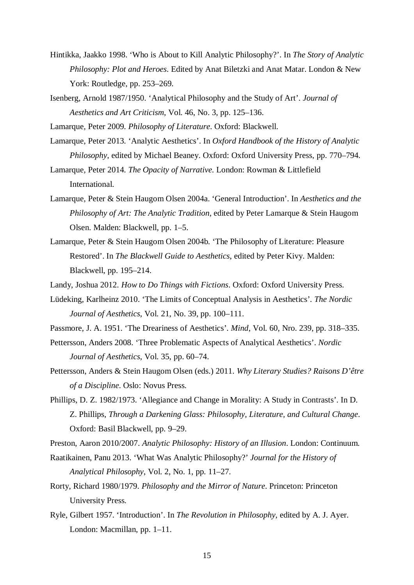- Hintikka, Jaakko 1998. 'Who is About to Kill Analytic Philosophy?'. In *The Story of Analytic Philosophy: Plot and Heroes*. Edited by Anat Biletzki and Anat Matar. London & New York: Routledge, pp. 253–269.
- Isenberg, Arnold 1987/1950. 'Analytical Philosophy and the Study of Art'. *Journal of Aesthetics and Art Criticism*, Vol. 46, No. 3, pp. 125–136.
- Lamarque, Peter 2009. *Philosophy of Literature*. Oxford: Blackwell.
- Lamarque, Peter 2013. 'Analytic Aesthetics'. In *Oxford Handbook of the History of Analytic Philosophy*, edited by Michael Beaney. Oxford: Oxford University Press, pp. 770–794.

Lamarque, Peter 2014. *The Opacity of Narrative.* London: Rowman & Littlefield International.

- Lamarque, Peter & Stein Haugom Olsen 2004a. 'General Introduction'. In *Aesthetics and the Philosophy of Art: The Analytic Tradition*, edited by Peter Lamarque & Stein Haugom Olsen. Malden: Blackwell, pp. 1–5.
- Lamarque, Peter & Stein Haugom Olsen 2004b. 'The Philosophy of Literature: Pleasure Restored'. In *The Blackwell Guide to Aesthetics*, edited by Peter Kivy. Malden: Blackwell, pp. 195–214.
- Landy, Joshua 2012. *How to Do Things with Fictions*. Oxford: Oxford University Press.
- Lüdeking, Karlheinz 2010. 'The Limits of Conceptual Analysis in Aesthetics'. *The Nordic Journal of Aesthetics*, Vol. 21, No. 39, pp. 100–111.
- Passmore, J. A. 1951. 'The Dreariness of Aesthetics'. *Mind*, Vol. 60, Nro. 239, pp. 318–335.
- Pettersson, Anders 2008. 'Three Problematic Aspects of Analytical Aesthetics'. *Nordic Journal of Aesthetics*, Vol. 35, pp. 60–74.
- Pettersson, Anders & Stein Haugom Olsen (eds.) 2011. *Why Literary Studies? Raisons D'être of a Discipline*. Oslo: Novus Press.
- Phillips, D. Z. 1982/1973. 'Allegiance and Change in Morality: A Study in Contrasts'. In D. Z. Phillips, *Through a Darkening Glass: Philosophy, Literature, and Cultural Change*. Oxford: Basil Blackwell, pp. 9–29.
- Preston, Aaron 2010/2007. *Analytic Philosophy: History of an Illusion*. London: Continuum.
- Raatikainen, Panu 2013. 'What Was Analytic Philosophy?' *Journal for the History of Analytical Philosophy*, Vol. 2, No. 1, pp. 11–27.
- Rorty, Richard 1980/1979. *Philosophy and the Mirror of Nature*. Princeton: Princeton University Press.
- Ryle, Gilbert 1957. 'Introduction'. In *The Revolution in Philosophy*, edited by A. J. Ayer. London: Macmillan, pp. 1–11.